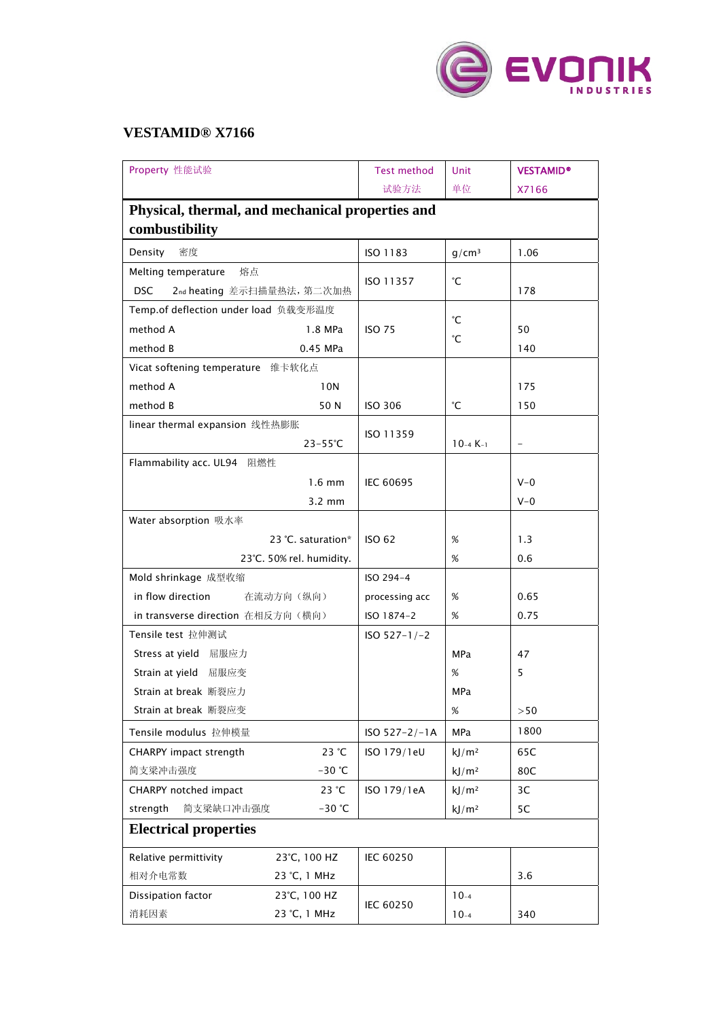

## **VESTAMID® X7166**

| Property 性能试验                                    | <b>Test method</b> | Unit              | <b>VESTAMID®</b>         |  |  |  |
|--------------------------------------------------|--------------------|-------------------|--------------------------|--|--|--|
|                                                  | 试验方法               | 单位                | X7166                    |  |  |  |
| Physical, thermal, and mechanical properties and |                    |                   |                          |  |  |  |
| combustibility                                   |                    |                   |                          |  |  |  |
| 密度<br>Density                                    | ISO 1183           | $g/cm^3$          | 1.06                     |  |  |  |
| Melting temperature<br>熔点                        |                    |                   |                          |  |  |  |
| 2nd heating 差示扫描量热法, 第二次加热<br><b>DSC</b>         | ISO 11357          | °С                | 178                      |  |  |  |
| Temp.of deflection under load 负载变形温度             |                    | °С                |                          |  |  |  |
| method A<br>1.8 MPa                              | <b>ISO 75</b>      |                   | 50                       |  |  |  |
| method B<br>0.45 MPa                             |                    | °С                | 140                      |  |  |  |
| Vicat softening temperature 维卡软化点                |                    |                   |                          |  |  |  |
| method A<br>10N                                  |                    |                   | 175                      |  |  |  |
| method B<br>50 N                                 | <b>ISO 306</b>     | °С                | 150                      |  |  |  |
| linear thermal expansion 线性热膨胀                   |                    |                   |                          |  |  |  |
| $23 - 55^{\circ}C$                               | ISO 11359          | $10-4 K-1$        | $\overline{\phantom{a}}$ |  |  |  |
| Flammability acc. UL94 阻燃性                       |                    |                   |                          |  |  |  |
| $1.6$ mm                                         | <b>IEC 60695</b>   |                   | $V - 0$                  |  |  |  |
| $3.2 \text{ mm}$                                 |                    |                   | $V - 0$                  |  |  |  |
| Water absorption 吸水率                             |                    |                   |                          |  |  |  |
| 23 °C. saturation*                               | <b>ISO 62</b>      | $\%$              | 1.3                      |  |  |  |
| 23°C. 50% rel. humidity.                         |                    | %                 | 0.6                      |  |  |  |
| Mold shrinkage 成型收缩                              | ISO 294-4          |                   |                          |  |  |  |
| in flow direction<br>在流动方向(纵向)                   | processing acc     | %                 | 0.65                     |  |  |  |
| in transverse direction 在相反方向(横向)                | ISO 1874-2         | $\%$              | 0.75                     |  |  |  |
| Tensile test 拉伸测试                                | $ISO 527-1/-2$     |                   |                          |  |  |  |
| Stress at yield 屈服应力                             |                    | <b>MPa</b>        | 47                       |  |  |  |
| Strain at yield 屈服应变                             |                    | %                 | 5                        |  |  |  |
| Strain at break 断裂应力                             |                    | MPa               |                          |  |  |  |
| Strain at break 断裂应变                             |                    | %                 | >50                      |  |  |  |
| Tensile modulus 拉伸模量                             | $ISO 527 - 2/-1A$  | <b>MPa</b>        | 1800                     |  |  |  |
| 23 °C<br>CHARPY impact strength                  | ISO 179/1eU        | kJ/m <sup>2</sup> | 65C                      |  |  |  |
| 简支梁冲击强度<br>$-30$ °C                              |                    | kJ/m <sup>2</sup> | 80C                      |  |  |  |
| 23 °C<br>CHARPY notched impact                   | ISO 179/1eA        | kJ/m <sup>2</sup> | 3C                       |  |  |  |
| strength<br>简支梁缺口冲击强度<br>$-30$ °C                |                    | kJ/m <sup>2</sup> | 5C                       |  |  |  |
| <b>Electrical properties</b>                     |                    |                   |                          |  |  |  |
| Relative permittivity<br>23°C, 100 HZ            | IEC 60250          |                   |                          |  |  |  |
| 相对介电常数<br>23 °C, 1 MHz                           |                    |                   | 3.6                      |  |  |  |
| Dissipation factor<br>23°C, 100 HZ               |                    | $10-4$            |                          |  |  |  |
| 消耗因素<br>23 °C, 1 MHz                             | IEC 60250          | $10-4$            | 340                      |  |  |  |